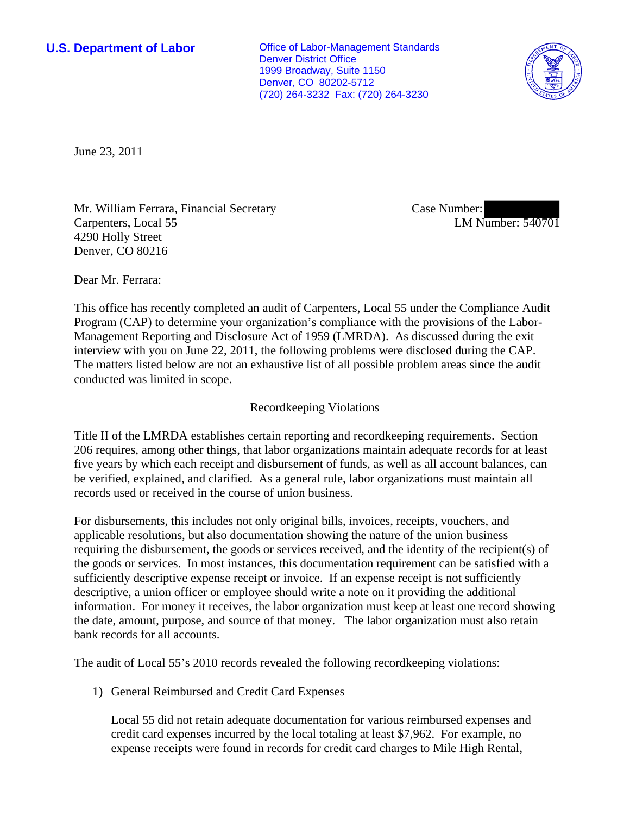**U.S. Department of Labor Conservative Conservative Conservative Conservative Conservative Conservative Conservative Conservative Conservative Conservative Conservative Conservative Conservative Conservative Conservative** Denver District Office 1999 Broadway, Suite 1150 Denver, CO 80202-5712 (720) 264-3232 Fax: (720) 264-3230



June 23, 2011

Mr. William Ferrara, Financial Secretary Carpenters, Local 55 4290 Holly Street Denver, CO 80216

Case Number: LM Number: 540701

Dear Mr. Ferrara:

This office has recently completed an audit of Carpenters, Local 55 under the Compliance Audit Program (CAP) to determine your organization's compliance with the provisions of the Labor-Management Reporting and Disclosure Act of 1959 (LMRDA). As discussed during the exit interview with you on June 22, 2011, the following problems were disclosed during the CAP. The matters listed below are not an exhaustive list of all possible problem areas since the audit conducted was limited in scope.

## Recordkeeping Violations

Title II of the LMRDA establishes certain reporting and recordkeeping requirements. Section 206 requires, among other things, that labor organizations maintain adequate records for at least five years by which each receipt and disbursement of funds, as well as all account balances, can be verified, explained, and clarified. As a general rule, labor organizations must maintain all records used or received in the course of union business.

For disbursements, this includes not only original bills, invoices, receipts, vouchers, and applicable resolutions, but also documentation showing the nature of the union business requiring the disbursement, the goods or services received, and the identity of the recipient(s) of the goods or services. In most instances, this documentation requirement can be satisfied with a sufficiently descriptive expense receipt or invoice. If an expense receipt is not sufficiently descriptive, a union officer or employee should write a note on it providing the additional information. For money it receives, the labor organization must keep at least one record showing the date, amount, purpose, and source of that money. The labor organization must also retain bank records for all accounts.

The audit of Local 55's 2010 records revealed the following recordkeeping violations:

1) General Reimbursed and Credit Card Expenses

Local 55 did not retain adequate documentation for various reimbursed expenses and credit card expenses incurred by the local totaling at least \$7,962. For example, no expense receipts were found in records for credit card charges to Mile High Rental,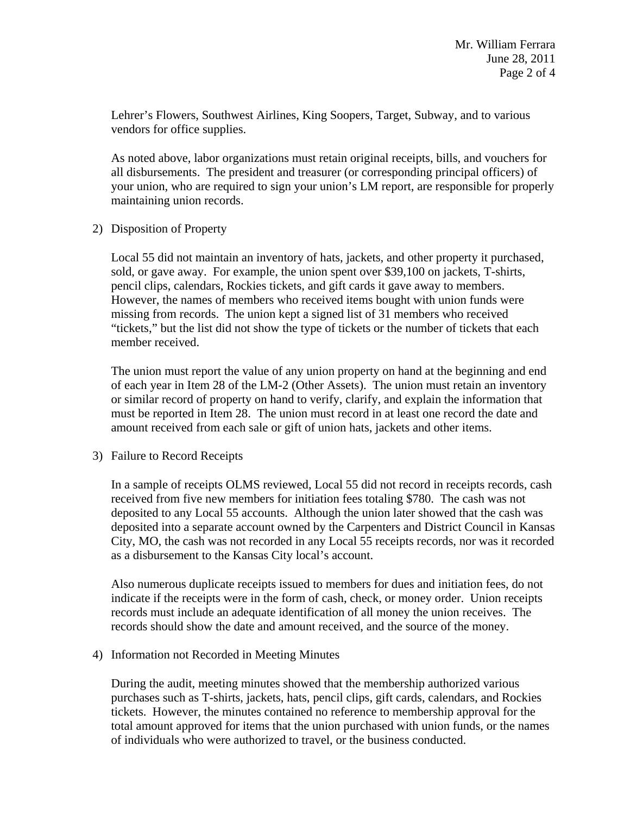Lehrer's Flowers, Southwest Airlines, King Soopers, Target, Subway, and to various vendors for office supplies.

As noted above, labor organizations must retain original receipts, bills, and vouchers for all disbursements. The president and treasurer (or corresponding principal officers) of your union, who are required to sign your union's LM report, are responsible for properly maintaining union records.

2) Disposition of Property

Local 55 did not maintain an inventory of hats, jackets, and other property it purchased, sold, or gave away. For example, the union spent over \$39,100 on jackets, T-shirts, pencil clips, calendars, Rockies tickets, and gift cards it gave away to members. However, the names of members who received items bought with union funds were missing from records. The union kept a signed list of 31 members who received "tickets," but the list did not show the type of tickets or the number of tickets that each member received.

The union must report the value of any union property on hand at the beginning and end of each year in Item 28 of the LM-2 (Other Assets). The union must retain an inventory or similar record of property on hand to verify, clarify, and explain the information that must be reported in Item 28. The union must record in at least one record the date and amount received from each sale or gift of union hats, jackets and other items.

3) Failure to Record Receipts

In a sample of receipts OLMS reviewed, Local 55 did not record in receipts records, cash received from five new members for initiation fees totaling \$780. The cash was not deposited to any Local 55 accounts. Although the union later showed that the cash was deposited into a separate account owned by the Carpenters and District Council in Kansas City, MO, the cash was not recorded in any Local 55 receipts records, nor was it recorded as a disbursement to the Kansas City local's account.

Also numerous duplicate receipts issued to members for dues and initiation fees, do not indicate if the receipts were in the form of cash, check, or money order. Union receipts records must include an adequate identification of all money the union receives. The records should show the date and amount received, and the source of the money.

4) Information not Recorded in Meeting Minutes

During the audit, meeting minutes showed that the membership authorized various purchases such as T-shirts, jackets, hats, pencil clips, gift cards, calendars, and Rockies tickets. However, the minutes contained no reference to membership approval for the total amount approved for items that the union purchased with union funds, or the names of individuals who were authorized to travel, or the business conducted.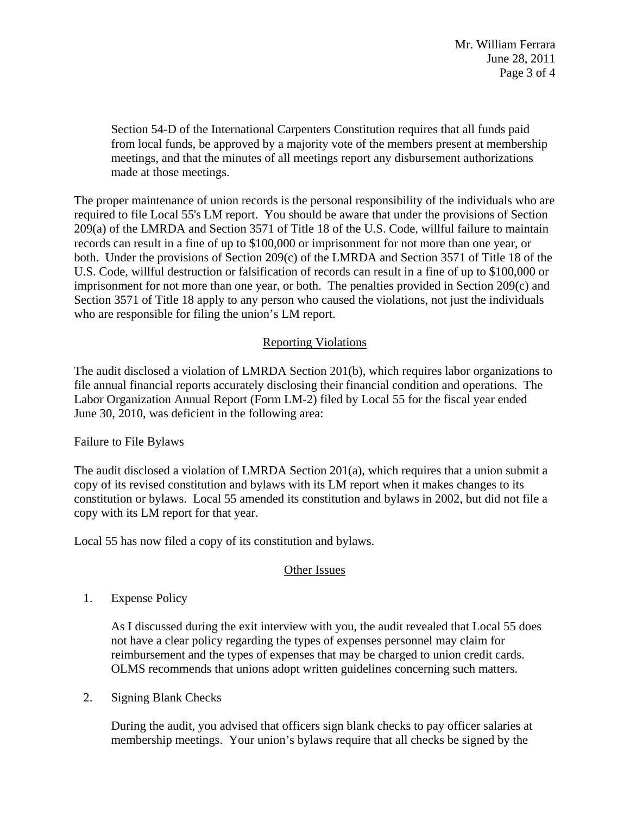Section 54-D of the International Carpenters Constitution requires that all funds paid from local funds, be approved by a majority vote of the members present at membership meetings, and that the minutes of all meetings report any disbursement authorizations made at those meetings.

The proper maintenance of union records is the personal responsibility of the individuals who are required to file Local 55's LM report. You should be aware that under the provisions of Section 209(a) of the LMRDA and Section 3571 of Title 18 of the U.S. Code, willful failure to maintain records can result in a fine of up to \$100,000 or imprisonment for not more than one year, or both. Under the provisions of Section 209(c) of the LMRDA and Section 3571 of Title 18 of the U.S. Code, willful destruction or falsification of records can result in a fine of up to \$100,000 or imprisonment for not more than one year, or both. The penalties provided in Section 209(c) and Section 3571 of Title 18 apply to any person who caused the violations, not just the individuals who are responsible for filing the union's LM report.

## Reporting Violations

The audit disclosed a violation of LMRDA Section 201(b), which requires labor organizations to file annual financial reports accurately disclosing their financial condition and operations. The Labor Organization Annual Report (Form LM-2) filed by Local 55 for the fiscal year ended June 30, 2010, was deficient in the following area:

## Failure to File Bylaws

The audit disclosed a violation of LMRDA Section 201(a), which requires that a union submit a copy of its revised constitution and bylaws with its LM report when it makes changes to its constitution or bylaws. Local 55 amended its constitution and bylaws in 2002, but did not file a copy with its LM report for that year.

Local 55 has now filed a copy of its constitution and bylaws.

## Other Issues

1. Expense Policy

As I discussed during the exit interview with you, the audit revealed that Local 55 does not have a clear policy regarding the types of expenses personnel may claim for reimbursement and the types of expenses that may be charged to union credit cards. OLMS recommends that unions adopt written guidelines concerning such matters.

2. Signing Blank Checks

During the audit, you advised that officers sign blank checks to pay officer salaries at membership meetings. Your union's bylaws require that all checks be signed by the